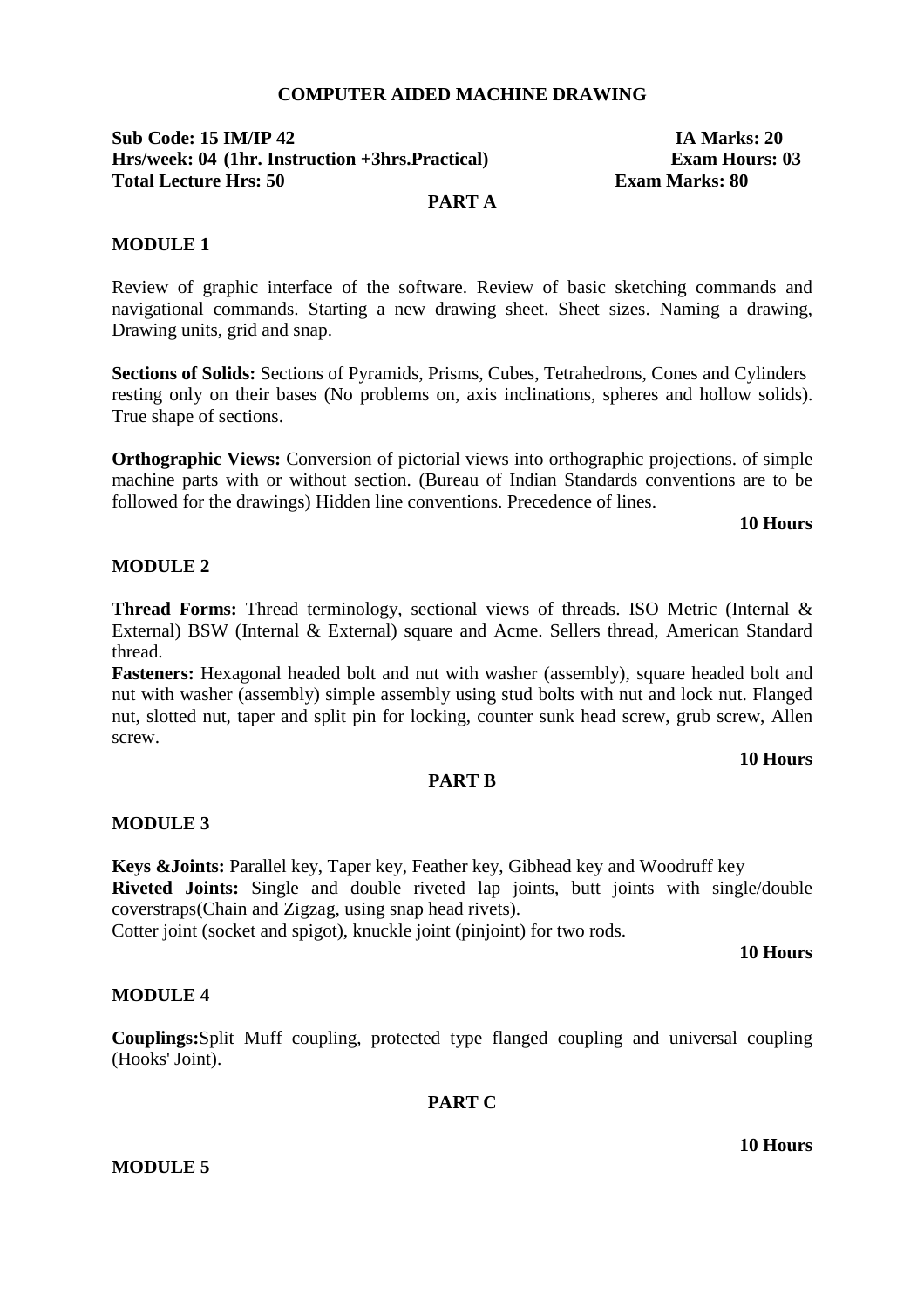### **COMPUTER AIDED MACHINE DRAWING**

# **Sub Code: 15 IM/IP 42 IA Marks: 20 Hrs/week: 04 (1hr. Instruction +3hrs.Practical) Exam Hours: 03 Total Lecture Hrs: 50 <b>Exam Marks: 80 Exam Marks: 80**

### **PART A**

### **MODULE 1**

Review of graphic interface of the software. Review of basic sketching commands and navigational commands. Starting a new drawing sheet. Sheet sizes. Naming a drawing, Drawing units, grid and snap.

**Sections of Solids:** Sections of Pyramids, Prisms, Cubes, Tetrahedrons, Cones and Cylinders resting only on their bases (No problems on, axis inclinations, spheres and hollow solids). True shape of sections.

**Orthographic Views:** Conversion of pictorial views into orthographic projections. of simple machine parts with or without section. (Bureau of Indian Standards conventions are to be followed for the drawings) Hidden line conventions. Precedence of lines.

#### **10 Hours**

### **MODULE 2**

**Thread Forms:** Thread terminology, sectional views of threads. ISO Metric (Internal & External) BSW (Internal & External) square and Acme. Sellers thread, American Standard thread.

**Fasteners:** Hexagonal headed bolt and nut with washer (assembly), square headed bolt and nut with washer (assembly) simple assembly using stud bolts with nut and lock nut. Flanged nut, slotted nut, taper and split pin for locking, counter sunk head screw, grub screw, Allen screw.

### **10 Hours**

#### **PART B**

#### **MODULE 3**

**Keys &Joints:** Parallel key, Taper key, Feather key, Gibhead key and Woodruff key **Riveted Joints:** Single and double riveted lap joints, butt joints with single/double coverstraps(Chain and Zigzag, using snap head rivets).

Cotter joint (socket and spigot), knuckle joint (pinjoint) for two rods.

#### **10 Hours**

### **MODULE 4**

**Couplings:**Split Muff coupling, protected type flanged coupling and universal coupling (Hooks' Joint).

### **PART C**

### **MODULE 5**

**10 Hours**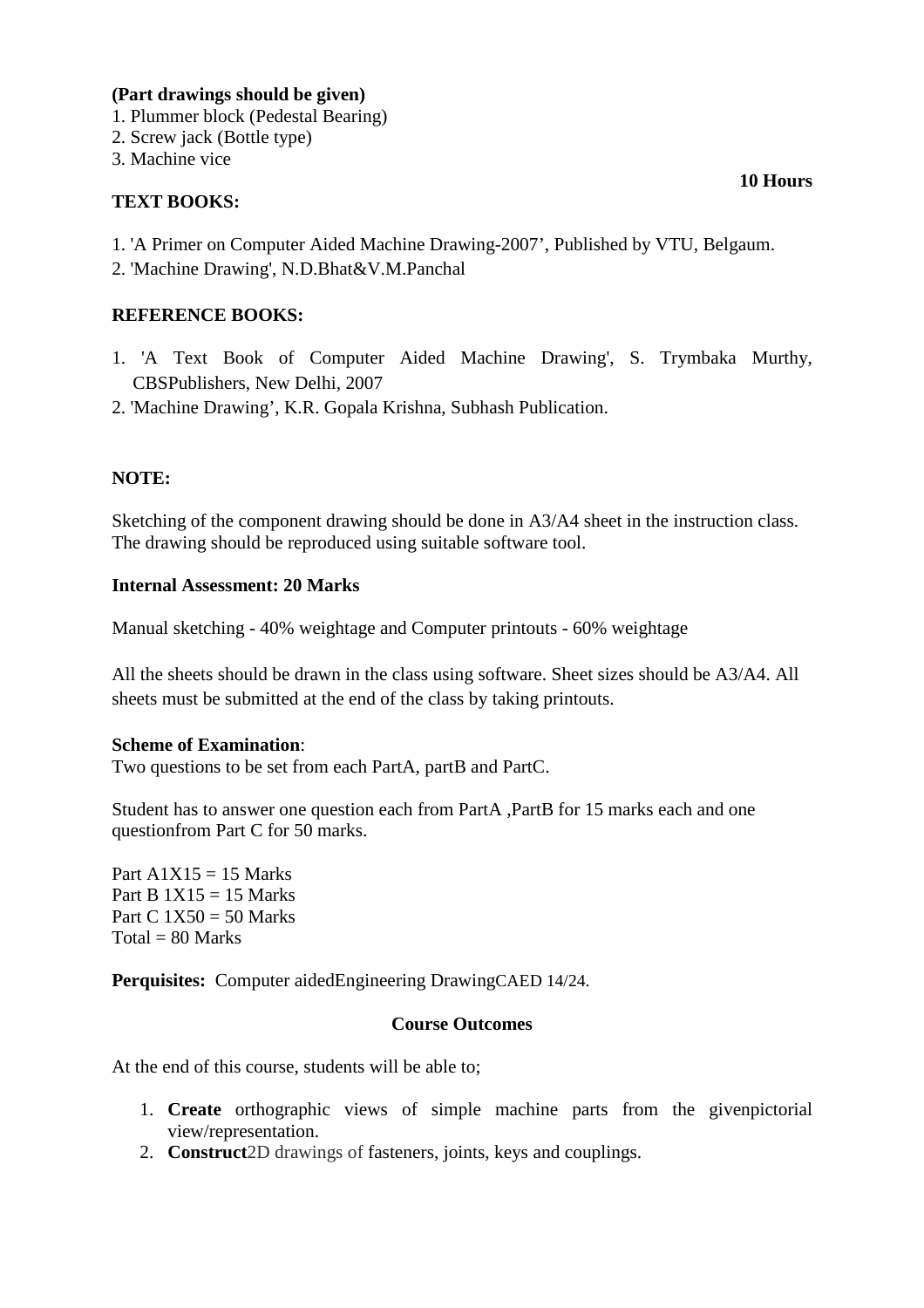### **(Part drawings should be given)**

- 1. Plummer block (Pedestal Bearing)
- 2. Screw jack (Bottle type)
- 3. Machine vice

### **TEXT BOOKS:**

- 1. 'A Primer on Computer Aided Machine Drawing-2007', Published by VTU, Belgaum.
- 2. 'Machine Drawing', N.D.Bhat&V.M.Panchal

# **REFERENCE BOOKS:**

- 1. 'A Text Book of Computer Aided Machine Drawing', S. Trymbaka Murthy, CBSPublishers, New Delhi, 2007
- 2. 'Machine Drawing', K.R. Gopala Krishna, Subhash Publication.

### **NOTE:**

Sketching of the component drawing should be done in A3/A4 sheet in the instruction class. The drawing should be reproduced using suitable software tool.

### **Internal Assessment: 20 Marks**

Manual sketching - 40% weightage and Computer printouts - 60% weightage

All the sheets should be drawn in the class using software. Sheet sizes should be A3/A4. All sheets must be submitted at the end of the class by taking printouts.

### **Scheme of Examination**:

Two questions to be set from each PartA, partB and PartC.

Student has to answer one question each from PartA ,PartB for 15 marks each and one questionfrom Part C for 50 marks.

Part  $A1X15 = 15$  Marks Part B  $1X15 = 15$  Marks Part C  $1X50 = 50$  Marks  $Total = 80$  Marks

**Perquisites:** Computer aidedEngineering DrawingCAED 14/24.

#### **Course Outcomes**

At the end of this course, students will be able to;

- 1. **Create** orthographic views of simple machine parts from the givenpictorial view/representation.
- 2. **Construct**2D drawings of fasteners, joints, keys and couplings.

### **10 Hours**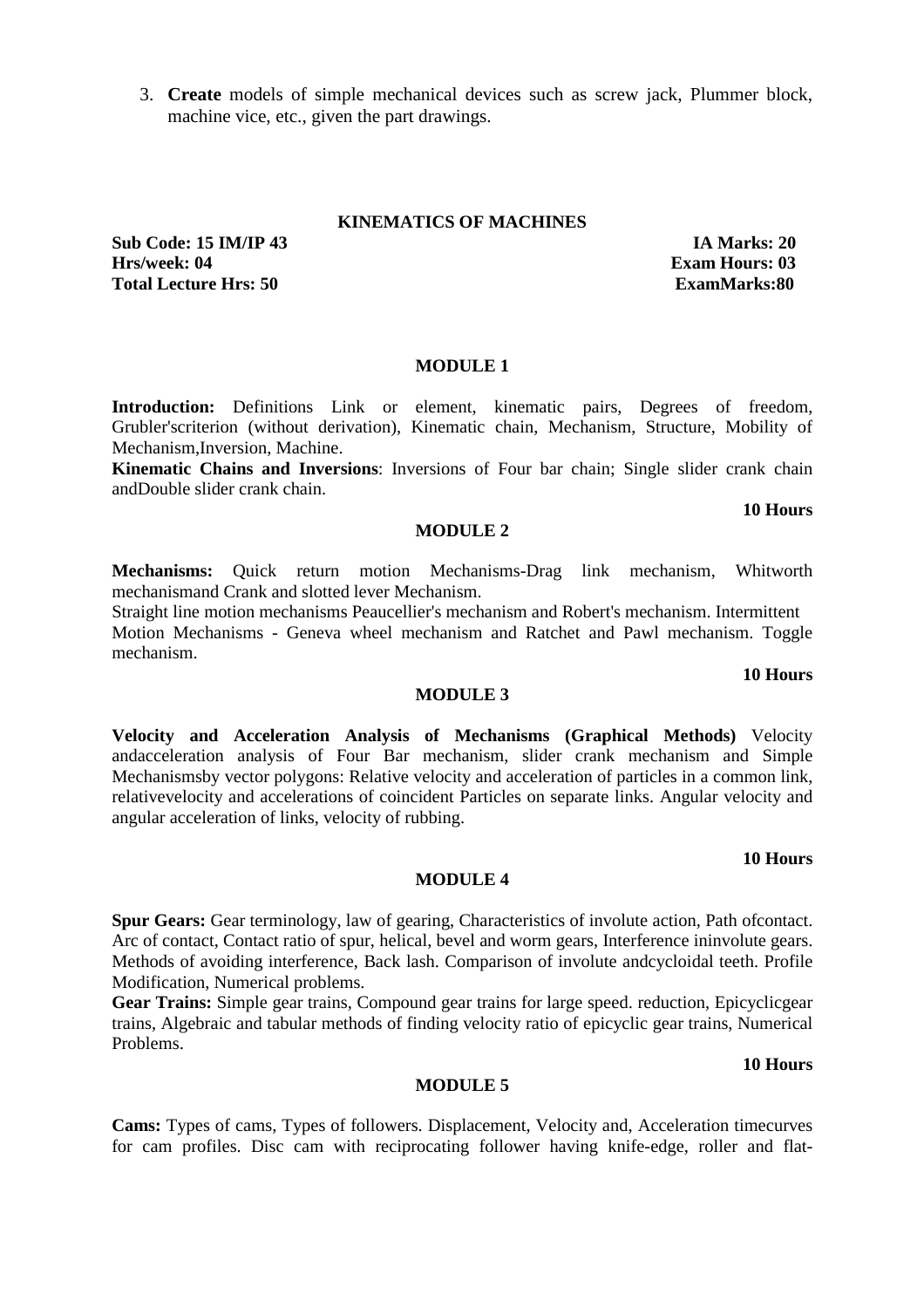3. **Create** models of simple mechanical devices such as screw jack, Plummer block, machine vice, etc., given the part drawings.

#### **KINEMATICS OF MACHINES**

**Sub Code: 15 IM/IP 43 IA Marks: 20 Hrs/week: 04 Exam Hours: 03 Total Lecture Hrs: 50 ExamMarks:80** 

#### **MODULE 1**

Introduction: Definitions Link or element, kinematic pairs, Degrees of freedom, Grubler'scriterion (without derivation), Kinematic chain, Mechanism, Structure, Mobility of Mechanism,Inversion, Machine.

**Kinematic Chains and Inversions**: Inversions of Four bar chain; Single slider crank chain andDouble slider crank chain.

#### **10 Hours**

### **MODULE 2**

**Mechanisms:** Quick return motion Mechanisms-Drag link mechanism, Whitworth mechanismand Crank and slotted lever Mechanism.

Straight line motion mechanisms Peaucellier's mechanism and Robert's mechanism. Intermittent Motion Mechanisms - Geneva wheel mechanism and Ratchet and Pawl mechanism. Toggle mechanism.

#### **10 Hours**

### **MODULE 3**

**Velocity and Acceleration Analysis of Mechanisms (Graphical Methods)** Velocity andacceleration analysis of Four Bar mechanism, slider crank mechanism and Simple Mechanismsby vector polygons: Relative velocity and acceleration of particles in a common link, relativevelocity and accelerations of coincident Particles on separate links. Angular velocity and angular acceleration of links, velocity of rubbing.

#### **10 Hours**

#### **MODULE 4**

**Spur Gears:** Gear terminology, law of gearing, Characteristics of involute action, Path ofcontact. Arc of contact, Contact ratio of spur, helical, bevel and worm gears, Interference ininvolute gears. Methods of avoiding interference, Back lash. Comparison of involute andcycloidal teeth. Profile Modification, Numerical problems.

**Gear Trains:** Simple gear trains, Compound gear trains for large speed. reduction, Epicyclicgear trains, Algebraic and tabular methods of finding velocity ratio of epicyclic gear trains, Numerical Problems.

#### **10 Hours**

#### **MODULE 5**

**Cams:** Types of cams, Types of followers. Displacement, Velocity and, Acceleration timecurves for cam profiles. Disc cam with reciprocating follower having knife-edge, roller and flat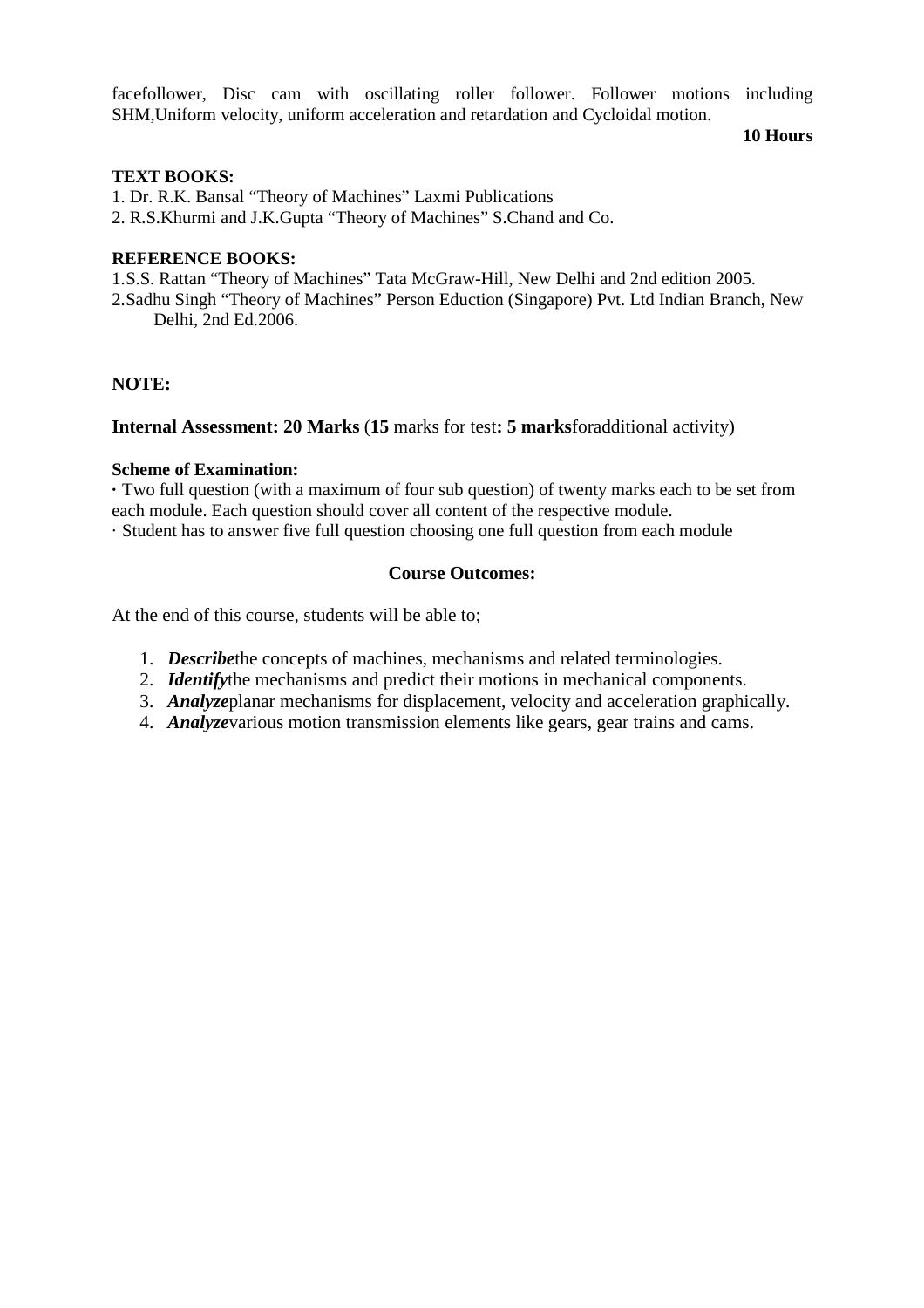facefollower, Disc cam with oscillating roller follower. Follower motions including SHM,Uniform velocity, uniform acceleration and retardation and Cycloidal motion.

#### **10 Hours**

### **TEXT BOOKS:**

1. Dr. R.K. Bansal "Theory of Machines" Laxmi Publications

2. R.S.Khurmi and J.K.Gupta "Theory of Machines" S.Chand and Co.

### **REFERENCE BOOKS:**

1.S.S. Rattan "Theory of Machines" Tata McGraw-Hill, New Delhi and 2nd edition 2005. 2.Sadhu Singh "Theory of Machines" Person Eduction (Singapore) Pvt. Ltd Indian Branch, New Delhi, 2nd Ed.2006.

### **NOTE:**

#### **Internal Assessment: 20 Marks** (**15** marks for test**: 5 marks**foradditional activity)

### **Scheme of Examination:**

**·** Two full question (with a maximum of four sub question) of twenty marks each to be set from each module. Each question should cover all content of the respective module.

· Student has to answer five full question choosing one full question from each module

### **Course Outcomes:**

At the end of this course, students will be able to;

- 1. *Describe*the concepts of machines, mechanisms and related terminologies.
- 2. *Identify*the mechanisms and predict their motions in mechanical components.
- 3. *Analyze*planar mechanisms for displacement, velocity and acceleration graphically.
- 4. *Analyze*various motion transmission elements like gears, gear trains and cams.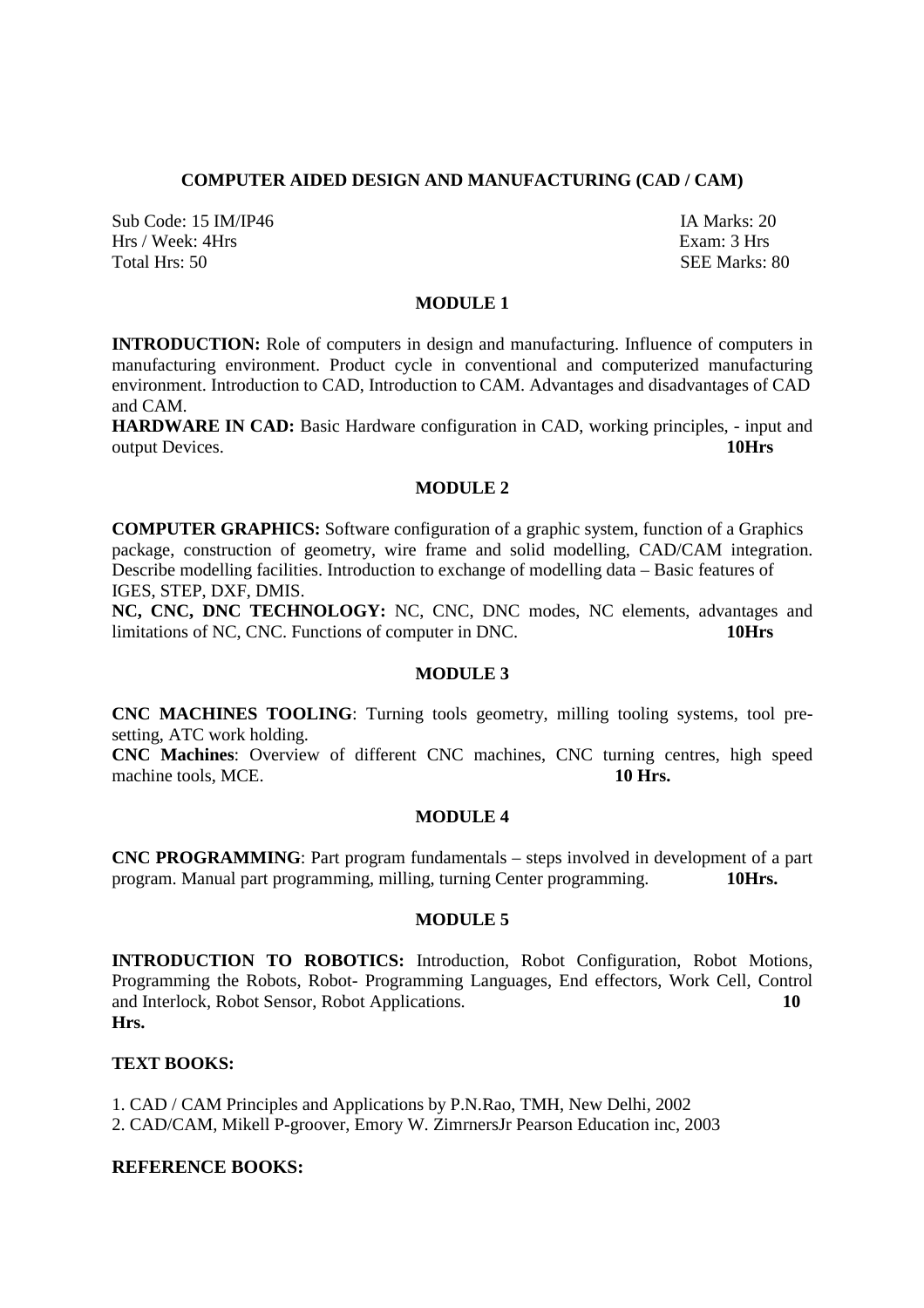### **COMPUTER AIDED DESIGN AND MANUFACTURING (CAD / CAM)**

Sub Code: 15 IM/IP46 **IA Marks: 20** Hrs / Week: 4Hrs Exam: 3 Hrs Total Hrs: 50 SEE Marks: 80

# **MODULE 1**

**INTRODUCTION:** Role of computers in design and manufacturing. Influence of computers in manufacturing environment. Product cycle in conventional and computerized manufacturing environment. Introduction to CAD, Introduction to CAM. Advantages and disadvantages of CAD and CAM.

**HARDWARE IN CAD:** Basic Hardware configuration in CAD, working principles, - input and output Devices. **10Hrs**

### **MODULE 2**

**COMPUTER GRAPHICS:** Software configuration of a graphic system, function of a Graphics package, construction of geometry, wire frame and solid modelling, CAD/CAM integration. Describe modelling facilities. Introduction to exchange of modelling data – Basic features of IGES, STEP, DXF, DMIS.

**NC, CNC, DNC TECHNOLOGY:** NC, CNC, DNC modes, NC elements, advantages and limitations of NC, CNC. Functions of computer in DNC. **10Hrs** 

### **MODULE 3**

**CNC MACHINES TOOLING**: Turning tools geometry, milling tooling systems, tool presetting, ATC work holding.

**CNC Machines**: Overview of different CNC machines, CNC turning centres, high speed machine tools, MCE. **10 Hrs. 10 Hrs.** 

#### **MODULE 4**

**CNC PROGRAMMING**: Part program fundamentals – steps involved in development of a part program. Manual part programming, milling, turning Center programming. **10Hrs.** 

#### **MODULE 5**

**INTRODUCTION TO ROBOTICS:** Introduction, Robot Configuration, Robot Motions, Programming the Robots, Robot- Programming Languages, End effectors, Work Cell, Control and Interlock, Robot Sensor, Robot Applications. **10 Hrs.** 

### **TEXT BOOKS:**

1. CAD / CAM Principles and Applications by P.N.Rao, TMH, New Delhi, 2002 2. CAD/CAM, Mikell P-groover, Emory W. ZimrnersJr Pearson Education inc, 2003

### **REFERENCE BOOKS:**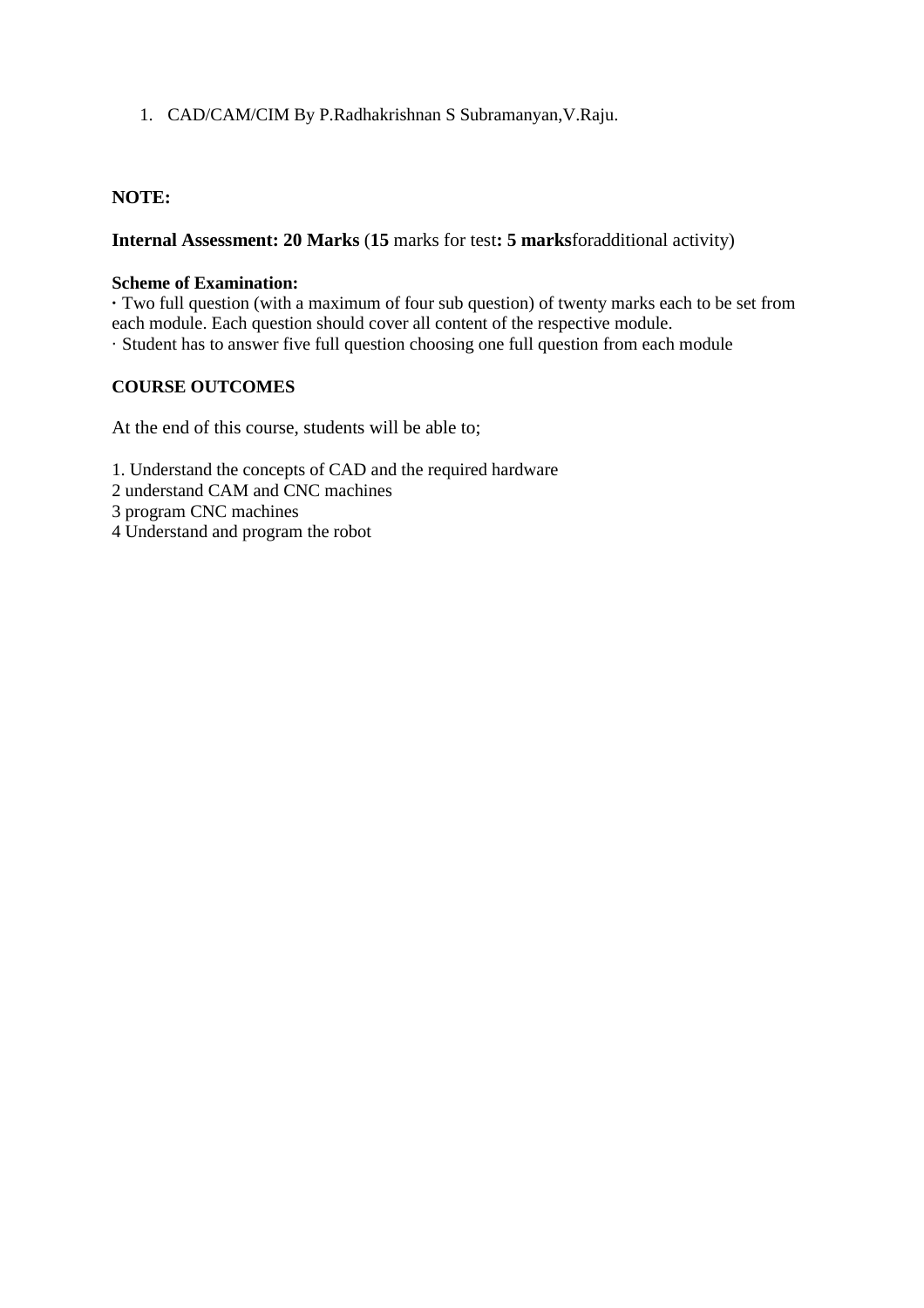1. CAD/CAM/CIM By P.Radhakrishnan S Subramanyan,V.Raju.

# **NOTE:**

**Internal Assessment: 20 Marks** (**15** marks for test**: 5 marks**foradditional activity)

### **Scheme of Examination:**

**·** Two full question (with a maximum of four sub question) of twenty marks each to be set from each module. Each question should cover all content of the respective module. · Student has to answer five full question choosing one full question from each module

# **COURSE OUTCOMES**

At the end of this course, students will be able to;

1. Understand the concepts of CAD and the required hardware

- 2 understand CAM and CNC machines
- 3 program CNC machines
- 4 Understand and program the robot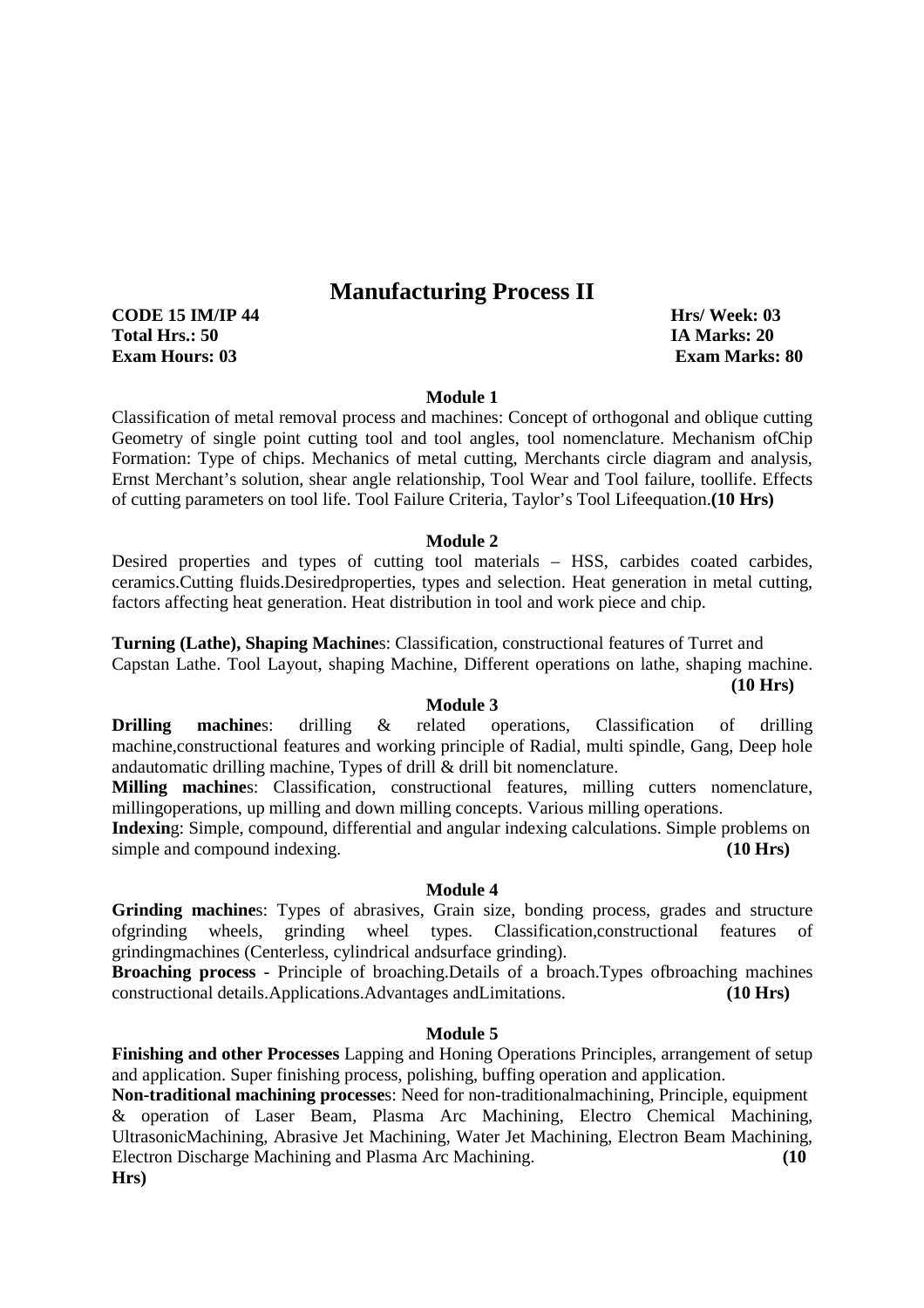# **Manufacturing Process II**

**CODE 15 IM/IP 44 Hrs/ Week: 03 Total Hrs.: 50 IA Marks: 20 Exam Hours: 03 Exam Marks: 80** 

#### **Module 1**

Classification of metal removal process and machines: Concept of orthogonal and oblique cutting Geometry of single point cutting tool and tool angles, tool nomenclature. Mechanism ofChip Formation: Type of chips. Mechanics of metal cutting, Merchants circle diagram and analysis, Ernst Merchant's solution, shear angle relationship, Tool Wear and Tool failure, toollife. Effects of cutting parameters on tool life. Tool Failure Criteria, Taylor's Tool Lifeequation.**(10 Hrs)** 

#### **Module 2**

Desired properties and types of cutting tool materials – HSS, carbides coated carbides, ceramics.Cutting fluids.Desiredproperties, types and selection. Heat generation in metal cutting, factors affecting heat generation. Heat distribution in tool and work piece and chip.

**Turning (Lathe), Shaping Machine**s: Classification, constructional features of Turret and Capstan Lathe. Tool Layout, shaping Machine, Different operations on lathe, shaping machine. **(10 Hrs)** 

#### **Module 3**

**Drilling machines:** drilling & related operations, Classification of drilling machine,constructional features and working principle of Radial, multi spindle, Gang, Deep hole andautomatic drilling machine, Types of drill & drill bit nomenclature.

**Milling machine**s: Classification, constructional features, milling cutters nomenclature, millingoperations, up milling and down milling concepts. Various milling operations.

**Indexin**g: Simple, compound, differential and angular indexing calculations. Simple problems on simple and compound indexing. **(10 Hrs) (10 Hrs)** 

#### **Module 4**

**Grinding machine**s: Types of abrasives, Grain size, bonding process, grades and structure ofgrinding wheels, grinding wheel types. Classification,constructional features of grindingmachines (Centerless, cylindrical andsurface grinding).

**Broaching process** - Principle of broaching.Details of a broach.Types ofbroaching machines constructional details.Applications.Advantages andLimitations. **(10 Hrs)** 

#### **Module 5**

**Finishing and other Processes** Lapping and Honing Operations Principles, arrangement of setup and application. Super finishing process, polishing, buffing operation and application.

**Non-traditional machining processe**s: Need for non-traditionalmachining, Principle, equipment & operation of Laser Beam, Plasma Arc Machining, Electro Chemical Machining, UltrasonicMachining, Abrasive Jet Machining, Water Jet Machining, Electron Beam Machining, Electron Discharge Machining and Plasma Arc Machining. **(10 Hrs)**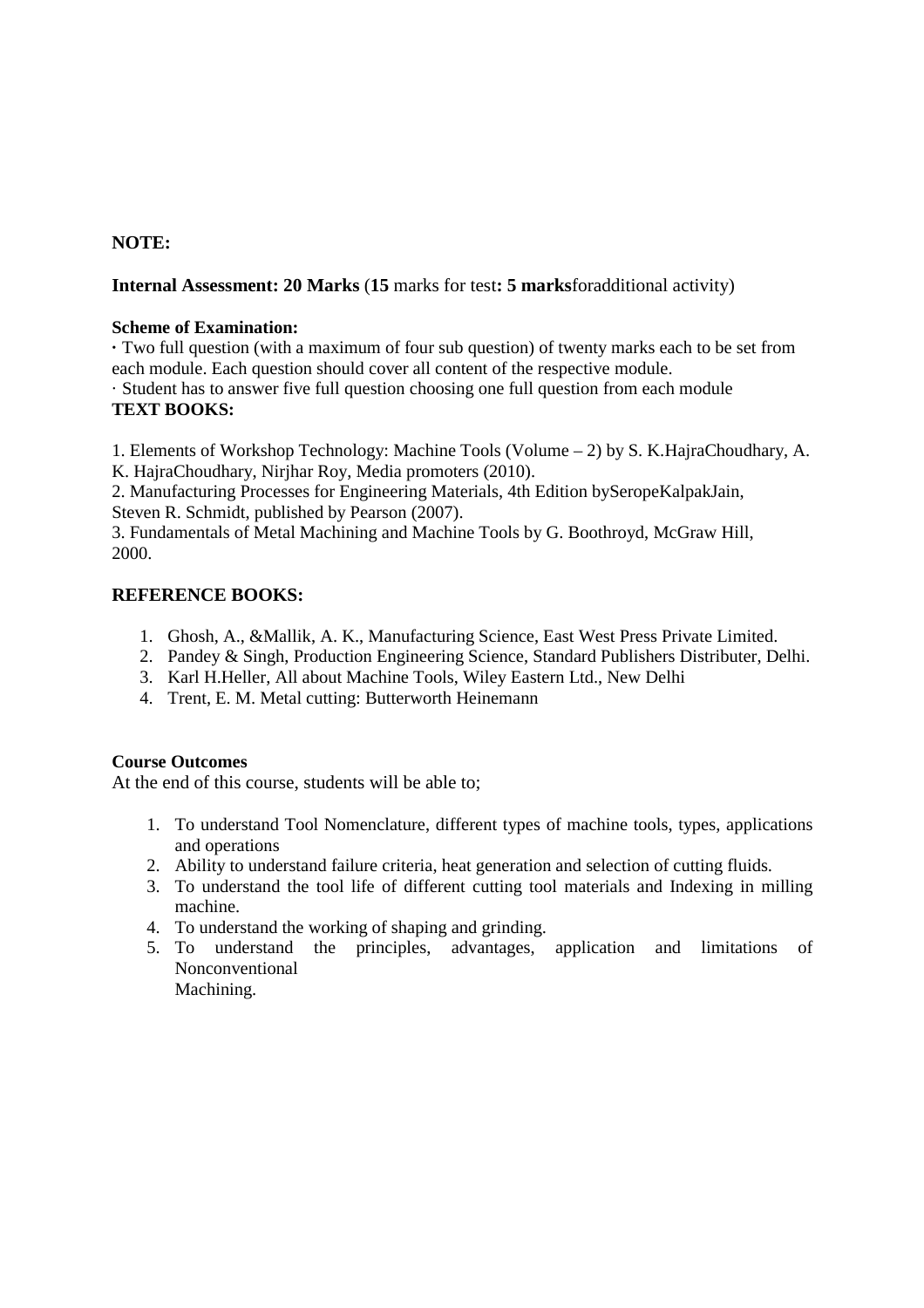# **NOTE:**

# **Internal Assessment: 20 Marks** (**15** marks for test**: 5 marks**foradditional activity)

### **Scheme of Examination:**

**·** Two full question (with a maximum of four sub question) of twenty marks each to be set from each module. Each question should cover all content of the respective module.

· Student has to answer five full question choosing one full question from each module **TEXT BOOKS:** 

1. Elements of Workshop Technology: Machine Tools (Volume – 2) by S. K.HajraChoudhary, A. K. HajraChoudhary, Nirjhar Roy, Media promoters (2010).

2. Manufacturing Processes for Engineering Materials, 4th Edition bySeropeKalpakJain, Steven R. Schmidt, published by Pearson (2007).

3. Fundamentals of Metal Machining and Machine Tools by G. Boothroyd, McGraw Hill, 2000.

### **REFERENCE BOOKS:**

- 1. Ghosh, A., &Mallik, A. K., Manufacturing Science, East West Press Private Limited.
- 2. Pandey & Singh, Production Engineering Science, Standard Publishers Distributer, Delhi.
- 3. Karl H.Heller, All about Machine Tools, Wiley Eastern Ltd., New Delhi
- 4. Trent, E. M. Metal cutting: Butterworth Heinemann

### **Course Outcomes**

At the end of this course, students will be able to;

- 1. To understand Tool Nomenclature, different types of machine tools, types, applications and operations
- 2. Ability to understand failure criteria, heat generation and selection of cutting fluids.
- 3. To understand the tool life of different cutting tool materials and Indexing in milling machine.
- 4. To understand the working of shaping and grinding.
- 5. To understand the principles, advantages, application and limitations of Nonconventional

Machining.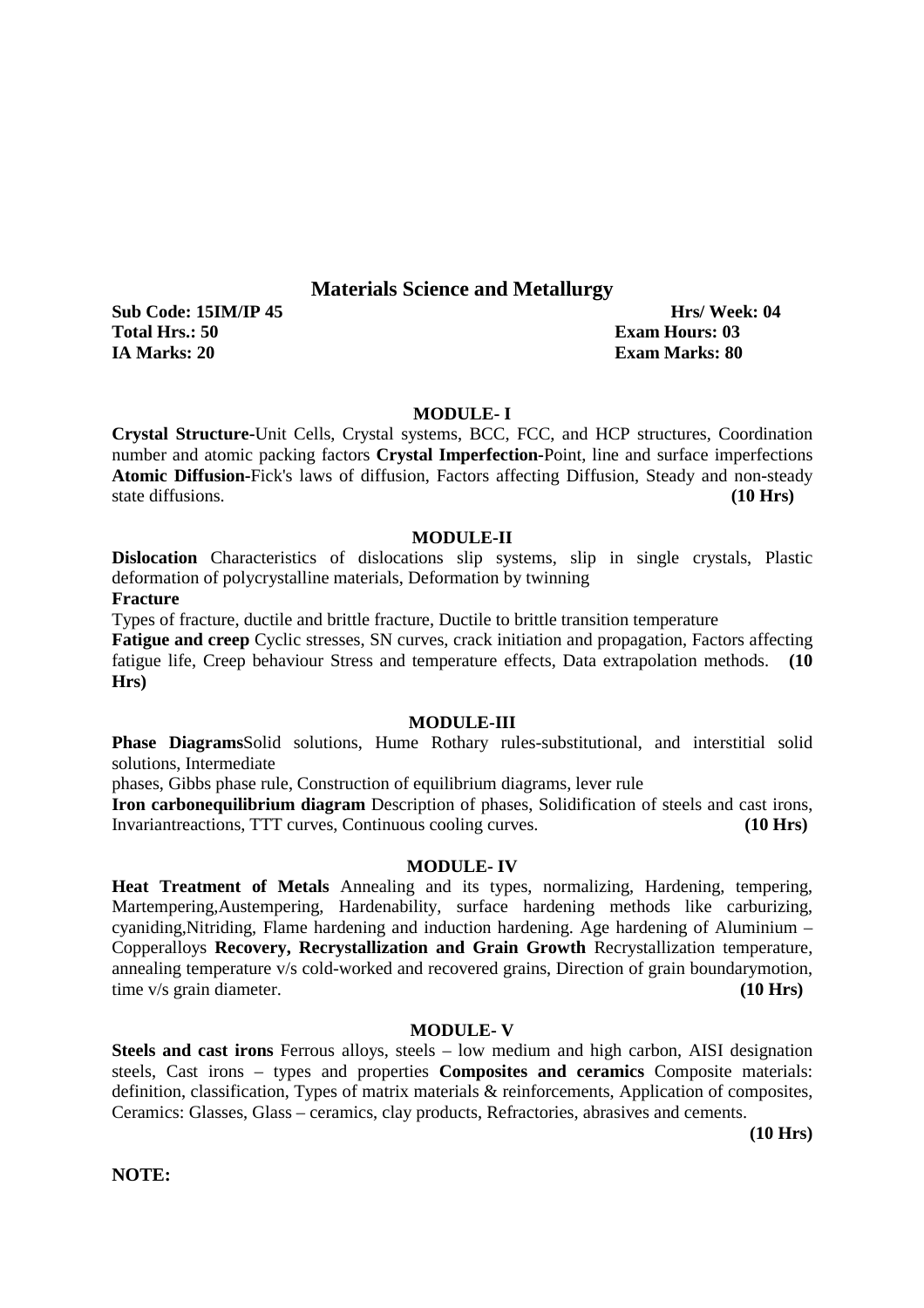# **Materials Science and Metallurgy**

**Sub Code: 15IM/IP 45 https://week: 04 and 15IM/IP 45 http://week: 04 and 15IM/IP 45 and 15IM/IP 45 and 16 Total Hrs.: 50 Exam Hours: 03 IA Marks: 20 Exam Marks: 80** 

#### **MODULE- I**

**Crystal Structure-**Unit Cells, Crystal systems, BCC, FCC, and HCP structures, Coordination number and atomic packing factors **Crystal Imperfection-**Point, line and surface imperfections **Atomic Diffusion-**Fick's laws of diffusion, Factors affecting Diffusion, Steady and non-steady state diffusions. **(10 Hrs)**

#### **MODULE-II**

**Dislocation** Characteristics of dislocations slip systems, slip in single crystals, Plastic deformation of polycrystalline materials, Deformation by twinning

**Fracture** 

Types of fracture, ductile and brittle fracture, Ductile to brittle transition temperature

**Fatigue and creep** Cyclic stresses, SN curves, crack initiation and propagation, Factors affecting fatigue life, Creep behaviour Stress and temperature effects, Data extrapolation methods. **(10 Hrs)**

#### **MODULE-III**

**Phase Diagrams**Solid solutions, Hume Rothary rules-substitutional, and interstitial solid solutions, Intermediate

phases, Gibbs phase rule, Construction of equilibrium diagrams, lever rule

**Iron carbonequilibrium diagram** Description of phases, Solidification of steels and cast irons, Invariantreactions, TTT curves, Continuous cooling curves. **(10 Hrs)**

#### **MODULE- IV**

**Heat Treatment of Metals** Annealing and its types, normalizing, Hardening, tempering, Martempering,Austempering, Hardenability, surface hardening methods like carburizing, cyaniding,Nitriding, Flame hardening and induction hardening. Age hardening of Aluminium – Copperalloys **Recovery, Recrystallization and Grain Growth** Recrystallization temperature, annealing temperature v/s cold-worked and recovered grains, Direction of grain boundarymotion, time v/s grain diameter. **(10 Hrs)**

#### **MODULE- V**

**Steels and cast irons** Ferrous alloys, steels – low medium and high carbon, AISI designation steels, Cast irons – types and properties **Composites and ceramics** Composite materials: definition, classification, Types of matrix materials & reinforcements, Application of composites, Ceramics: Glasses, Glass – ceramics, clay products, Refractories, abrasives and cements.

 **(10 Hrs)** 

**NOTE:**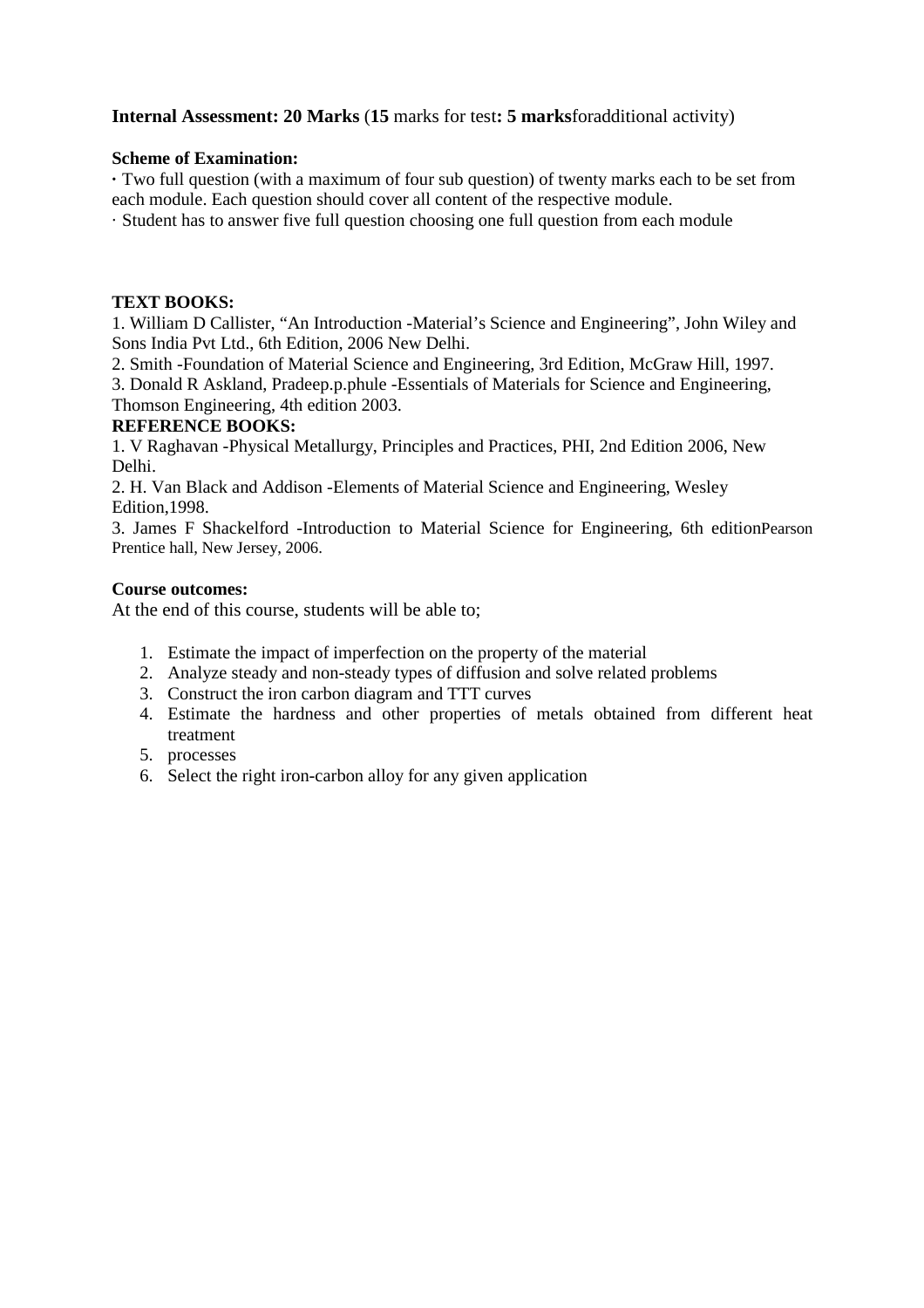# **Internal Assessment: 20 Marks** (**15** marks for test**: 5 marks**foradditional activity)

### **Scheme of Examination:**

**·** Two full question (with a maximum of four sub question) of twenty marks each to be set from each module. Each question should cover all content of the respective module.

· Student has to answer five full question choosing one full question from each module

### **TEXT BOOKS:**

1. William D Callister, "An Introduction -Material's Science and Engineering", John Wiley and Sons India Pvt Ltd., 6th Edition, 2006 New Delhi.

2. Smith -Foundation of Material Science and Engineering, 3rd Edition, McGraw Hill, 1997.

3. Donald R Askland, Pradeep.p.phule -Essentials of Materials for Science and Engineering, Thomson Engineering, 4th edition 2003.

# **REFERENCE BOOKS:**

1. V Raghavan -Physical Metallurgy, Principles and Practices, PHI, 2nd Edition 2006, New Delhi.

2. H. Van Black and Addison -Elements of Material Science and Engineering, Wesley Edition,1998.

3. James F Shackelford -Introduction to Material Science for Engineering, 6th editionPearson Prentice hall, New Jersey, 2006.

### **Course outcomes:**

At the end of this course, students will be able to;

- 1. Estimate the impact of imperfection on the property of the material
- 2. Analyze steady and non-steady types of diffusion and solve related problems
- 3. Construct the iron carbon diagram and TTT curves
- 4. Estimate the hardness and other properties of metals obtained from different heat treatment
- 5. processes
- 6. Select the right iron-carbon alloy for any given application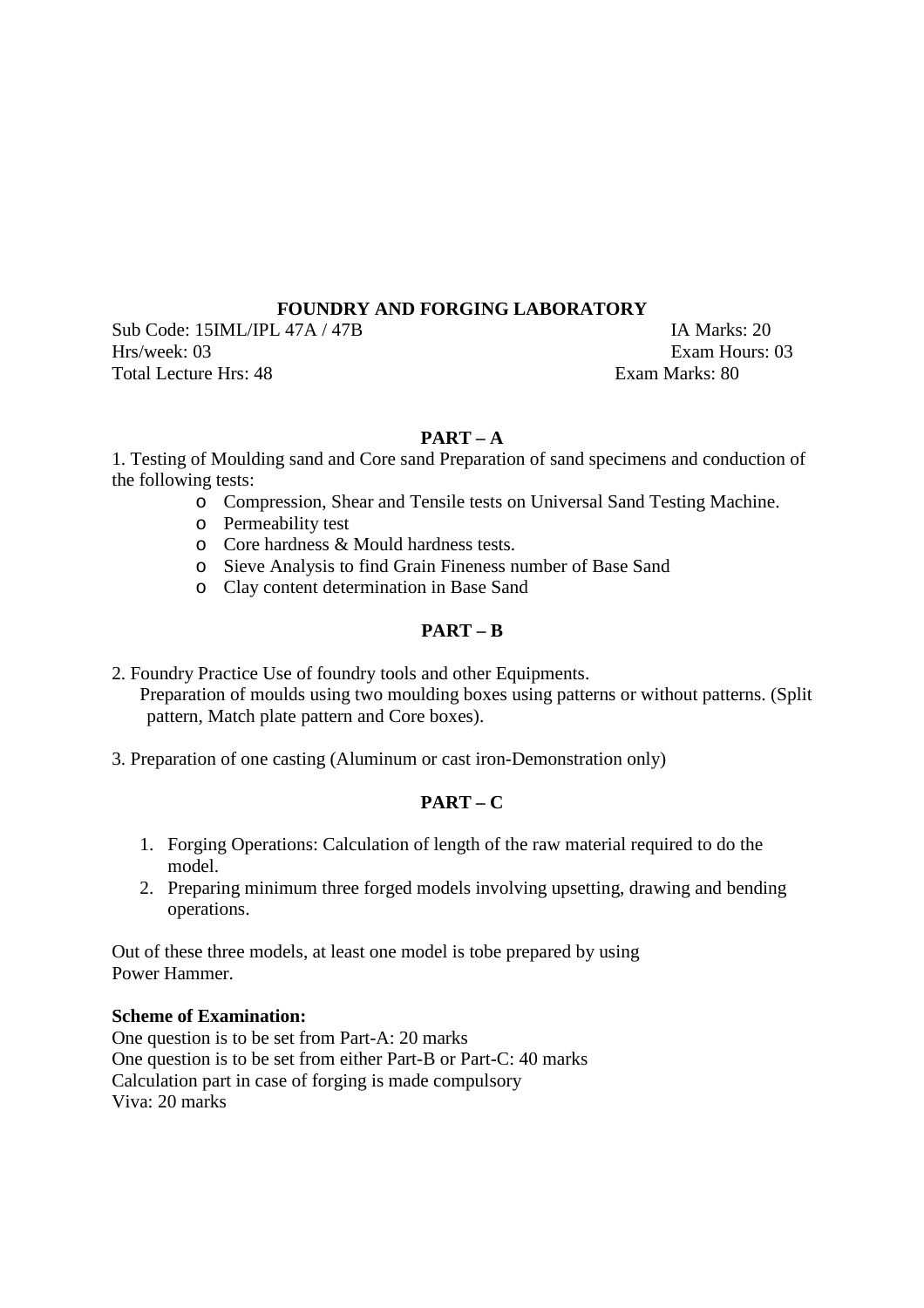# **FOUNDRY AND FORGING LABORATORY**

Sub Code: 15IML/IPL 47A / 47B IA Marks: 20 Hrs/week: 03 Exam Hours: 03 Total Lecture Hrs: 48 Exam Marks: 80

# **PART – A**

1. Testing of Moulding sand and Core sand Preparation of sand specimens and conduction of the following tests:

- o Compression, Shear and Tensile tests on Universal Sand Testing Machine.
- o Permeability test
- o Core hardness & Mould hardness tests.
- o Sieve Analysis to find Grain Fineness number of Base Sand
- o Clay content determination in Base Sand

# **PART – B**

2. Foundry Practice Use of foundry tools and other Equipments. Preparation of moulds using two moulding boxes using patterns or without patterns. (Split pattern, Match plate pattern and Core boxes).

3. Preparation of one casting (Aluminum or cast iron-Demonstration only)

# **PART – C**

- 1. Forging Operations: Calculation of length of the raw material required to do the model.
- 2. Preparing minimum three forged models involving upsetting, drawing and bending operations.

Out of these three models, at least one model is tobe prepared by using Power Hammer.

# **Scheme of Examination:**

One question is to be set from Part-A: 20 marks One question is to be set from either Part-B or Part-C: 40 marks Calculation part in case of forging is made compulsory Viva: 20 marks